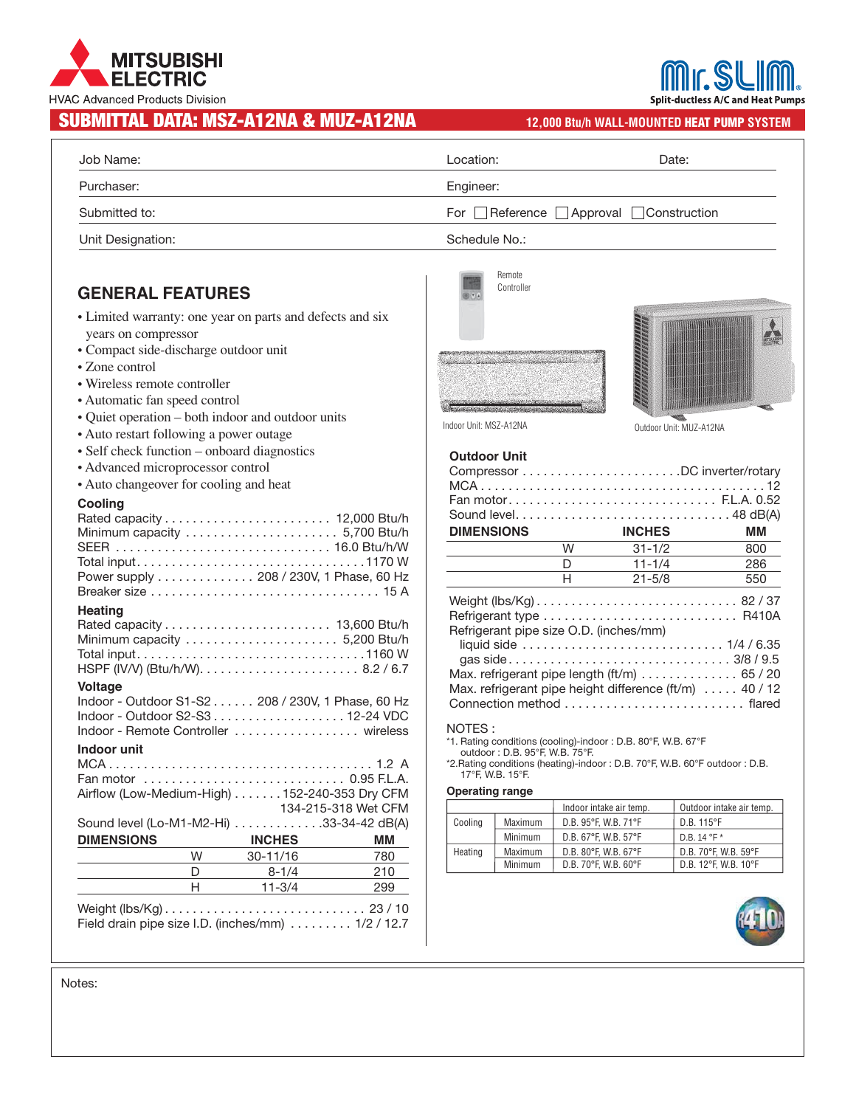# **MITSUBISHI ELECTRIC HVAC Advanced Products Division**

## SUBMITTAL DATA: MSZ-A12NA & MUZ-A12NA **12,000 Btu/h WALL-MOUNTED HEAT PUMP SYSTEM**

**Split-ductless A/C and Heat Pumps** 

| Job Name:         | Location:                           | Date: |  |
|-------------------|-------------------------------------|-------|--|
| Purchaser:        | Engineer:                           |       |  |
| Submitted to:     | For Reference Approval Construction |       |  |
| Unit Designation: | Schedule No.:                       |       |  |

## **GENERAL FEATURES**

- Limited warranty: one year on parts and defects and six years on compressor
- Compact side-discharge outdoor unit
- Zone control
- Wireless remote controller
- Automatic fan speed control
- Quiet operation both indoor and outdoor units
- Auto restart following a power outage
- Self check function onboard diagnostics
- Advanced microprocessor control
- Auto changeover for cooling and heat

#### **Cooling**

| 134-215-318 Wet CFM                                                                                                                                                                                                                                                                                                                         |
|---------------------------------------------------------------------------------------------------------------------------------------------------------------------------------------------------------------------------------------------------------------------------------------------------------------------------------------------|
|                                                                                                                                                                                                                                                                                                                                             |
| MМ                                                                                                                                                                                                                                                                                                                                          |
| 780                                                                                                                                                                                                                                                                                                                                         |
| 210                                                                                                                                                                                                                                                                                                                                         |
| 299                                                                                                                                                                                                                                                                                                                                         |
| Minimum capacity  5,200 Btu/h<br>Indoor - Outdoor S1-S2 208 / 230V, 1 Phase, 60 Hz<br>Indoor - Outdoor S2-S3 12-24 VDC<br>Indoor - Remote Controller  wireless<br>Fan motor  0.95 F.L.A.<br>Airflow (Low-Medium-High) 152-240-353 Dry CFM<br>Sound level (Lo-M1-M2-Hi) 33-34-42 dB(A)<br><b>INCHES</b><br>$30-11/16$<br>8-1/4<br>$11 - 3/4$ |



Remote



Indoor Unit: MSZ-A12NA Outdoor Unit: MUZ-A12NA

| <b>Outdoor Unit</b> |  |
|---------------------|--|
|---------------------|--|

|                                                                           |   | Fan motor F.L.A. 0.52    |     |  |
|---------------------------------------------------------------------------|---|--------------------------|-----|--|
|                                                                           |   |                          |     |  |
| <b>DIMENSIONS</b>                                                         |   | <b>INCHES</b>            | ΜМ  |  |
|                                                                           | W | $31 - 1/2$               | 800 |  |
|                                                                           | D | $11 - 1/4$               | 286 |  |
|                                                                           | н | $21 - 5/8$               | 550 |  |
|                                                                           |   |                          |     |  |
|                                                                           |   |                          |     |  |
| Refrigerant pipe size O.D. (inches/mm)                                    |   |                          |     |  |
|                                                                           |   |                          |     |  |
|                                                                           |   |                          |     |  |
| Max. refrigerant pipe length (ft/m) $\ldots \ldots \ldots \ldots$ 65 / 20 |   |                          |     |  |
| Max. refrigerant pipe height difference $(\text{ft/m})$ 40 / 12           |   |                          |     |  |
|                                                                           |   | Connection method flared |     |  |
|                                                                           |   |                          |     |  |

#### NOTES :

\*1. Rating conditions (cooling)-indoor : D.B. 80°F, W.B. 67°F outdoor : D.B. 95°F, W.B. 75°F.

\*2.Rating conditions (heating)-indoor : D.B. 70°F, W.B. 60°F outdoor : D.B. 17°F, W.B. 15°F.

#### **Operating range**

|         |         | Indoor intake air temp. | Outdoor intake air temp. |
|---------|---------|-------------------------|--------------------------|
| Cooling | Maximum | D.B. 95°F. W.B. 71°F    | D.B. 115°F               |
|         | Minimum | D.B. 67°F. W.B. 57°F    | $D.B. 14 °F*$            |
| Heating | Maximum | D.B. 80°F. W.B. 67°F    | D.B. 70°F. W.B. 59°F     |
|         | Minimum | D.B. 70°F. W.B. 60°F    | D.B. 12°F. W.B. 10°F     |



Notes: